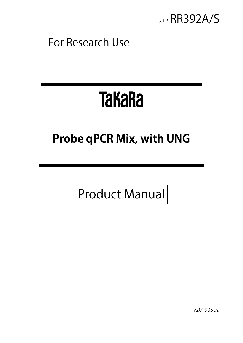

## For Research Use

# **TakaRa**

# **Probe qPCR Mix, with UNG**

Product Manual

v201905Da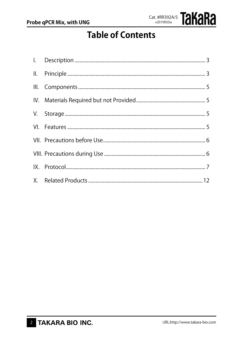

### **Table of Contents**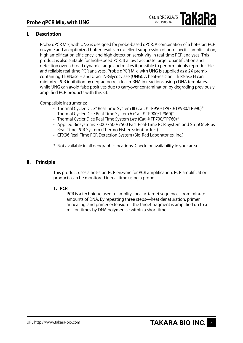#### **I. Description**

Probe qPCR Mix, with UNG is designed for probe-based qPCR. A combination of a hot-start PCR enzyme and an optimized buffer results in excellent suppression of non-specific amplification, high amplification efficiency, and high detection sensitivity in real-time PCR analyses. This product is also suitable for high-speed PCR. It allows accurate target quantification and detection over a broad dynamic range and makes it possible to perform highly reproducible and reliable real-time PCR analyses. Probe qPCR Mix, with UNG is supplied as a 2X premix containing Tli RNase H and Uracil N-Glycosylase (UNG). A heat-resistant Tli RNase H can minimize PCR inhibition by degrading residual mRNA in reactions using cDNA templates, while UNG can avoid false positives due to carryover contamination by degrading previously amplified PCR products with this kit.

Compatible instruments:

- Thermal Cycler Dice® Real Time System III (Cat. # TP950/TP970/TP980/TP990)\*
- Thermal Cycler Dice Real Time System  $II$  (Cat.  $\#$  TP900/TP960)\*
- Thermal Cycler Dice Real Time System Lite (Cat. # TP700/TP760)\*
- Applied Biosystems 7300/7500/7500 Fast Real-Time PCR System and StepOnePlus Real-Time PCR System (Thermo Fisher Scientific Inc.)
- CFX96 Real-Time PCR Detection System (Bio-Rad Laboratories, Inc.)
- \* Not available in all geographic locations. Check for availability in your area.

#### **II. Principle**

This product uses a hot-start PCR enzyme for PCR amplification. PCR amplification products can be monitored in real time using a probe.

#### **1. PCR**

PCR is a technique used to amplify specific target sequences from minute amounts of DNA. By repeating three steps—heat denaturation, primer annealing, and primer extension—the target fragment is amplified up to a million times by DNA polymerase within a short time.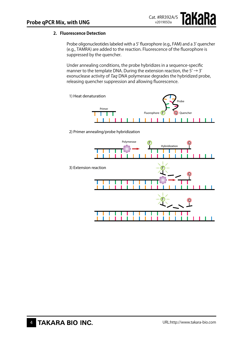#### **2. Fluorescence Detection**

Probe oligonucleotides labeled with a 5' fluorophore (e.g., FAM) and a 3' quencher (e.g., TAMRA) are added to the reaction. Fluorescence of the fluorophore is suppressed by the quencher.

Under annealing conditions, the probe hybridizes in a sequence-specific manner to the template DNA. During the extension reaction, the  $5' \rightarrow 3'$ exonuclease activity of Taq DNA polymerase degrades the hybridized probe, releasing quencher suppression and allowing fluorescence.



2) Primer annealing/probe hybridization

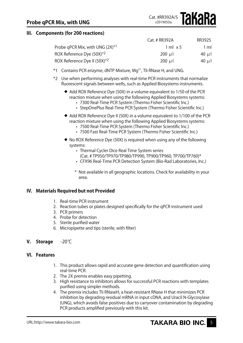#### **III. Components (for 200 reactions)**

|                                          | Cat. # RR392A   | RR3925     |
|------------------------------------------|-----------------|------------|
| Probe qPCR Mix, with UNG $(2X)^{*1}$     | 1 ml $\times$ 5 | 1 ml       |
| ROX Reference Dye (50X) <sup>*2</sup>    | 200 $\mu$ l     | 40 $\mu$ I |
| ROX Reference Dye II (50X) <sup>*2</sup> | 200 $\mu$ I     | 40 $\mu$ I |

- $*1$  Contains PCR enzyme, dNTP Mixture, Mg<sup>2+</sup>, Tli RNase H, and UNG.
- \*2 Use when performing analyses with real-time PCR instruments that normalize fluorescent signals between wells, such as Applied Biosystems instruments.
	- ◆ Add ROX Reference Dye (50X) in a volume equivalent to 1/50 of the PCR reaction mixture when using the following Applied Biosystems systems:
		- • 7300 Real-Time PCR System (Thermo Fisher Scientific Inc.)
		- StepOnePlus Real-Time PCR System (Thermo Fisher Scientific Inc.)
	- ◆ Add ROX Reference Dye II (50X) in a volume equivalent to 1/100 of the PCR reaction mixture when using the following Applied Biosystems systems:
		- 7500 Real-Time PCR System (Thermo Fisher Scientific Inc.)
		- 7500 Fast Real-Time PCR System (Thermo Fisher Scientific Inc.)
	- No ROX Reference Dye (50X) is required when using any of the following systems:
		- Thermal Cycler Dice Real Time System series (Cat. # TP950/TP970/TP980/TP990, TP900/TP960, TP700/TP760)\*
		- CFX96 Real-Time PCR Detection System (Bio-Rad Laboratories, Inc.)
		- \* Not available in all geographic locations. Check for availability in your area.

#### **IV. Materials Required but not Provided**

- 1. Real-time PCR instrument
- 2. Reaction tubes or plates designed specifically for the gPCR instrument used
- 3. PCR primers
- 4. Probe for detection
- 5. Sterile purified water
- 6. Micropipette and tips (sterile, with filter)
- **V. Storage** -20℃

#### **VI. Features**

- 1. This product allows rapid and accurate gene detection and quantification using real-time PCR.
- 2. The 2X premix enables easy pipetting.
- 3. High resistance to inhibitors allows for successful PCR reactions with templates purified using simpler methods.
- 4. The premix includes Tli RNaseH, a heat-resistant RNase H that minimizes PCR inhibition by degrading residual mRNA in input cDNA, and Uracil N-Glycosylase (UNG), which avoids false positives due to carryover contamination by degrading PCR products amplified previously with this kit.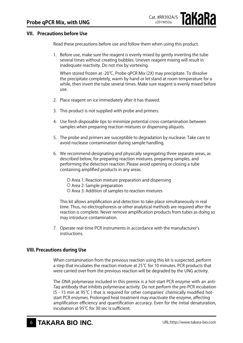#### **VII. Precautions before Use**

Read these precautions before use and follow them when using this product.

1. Before use, make sure the reagent is evenly mixed by gently inverting the tube several times without creating bubbles. Uneven reagent mixing will result in inadequate reactivity. Do not mix by vortexing.

When stored frozen at -20℃, Probe qPCR Mix (2X) may precipitate. To dissolve the precipitate completely, warm by hand or let stand at room temperature for a while, then invert the tube several times. Make sure reagent is evenly mixed before use.

- 2. Place reagent on ice immediately after it has thawed.
- 3. This product is not supplied with probe and primers.
- 4. Use fresh disposable tips to minimize potential cross-contamination between samples when preparing reaction mixtures or dispensing aliquots.
- 5. The probe and primers are susceptible to degradation by nuclease. Take care to avoid nuclease contamination during sample handling.
- 6. We recommend designating and physically segregating three separate areas, as described below, for preparing reaction mixtures, preparing samples, and performing the detection reaction. Please avoid opening or closing a tube containing amplified products in any areas.
	- Area 1: Reaction mixture preparation and dispensing
	- Area 2: Sample preparation
	- Area 3: Addition of samples to reaction mixtures

This kit allows amplification and detection to take place simultaneously in real time. Thus, no electrophoresis or other analytical methods are required after the reaction is complete. Never remove amplification products from tubes as doing so may introduce contamination.

7. Operate real-time PCR instruments in accordance with the manufacturer's instructions.

#### **VIII. Precautions during Use**

When contamination from the previous reaction using this kit is suspected, perform a step that incubates the reaction mixture at 25℃ for 10 minutes. PCR products that were carried over from the previous reaction will be degraded by the UNG activity.

The DNA polymerase included in this premix is a hot-start PCR enzyme with an anti-Taq antibody that inhibits polymerase activity. Do not perform the pre-PCR incubation (5 - 15 min at 95℃ ) that is required for other companies' chemically modified hotstart PCR enzymes. Prolonged heat treatment may inactivate the enzyme, affecting amplification efficiency and quantification accuracy. Even for the initial denaturation, incubation at 95℃ for 30 sec is sufficient.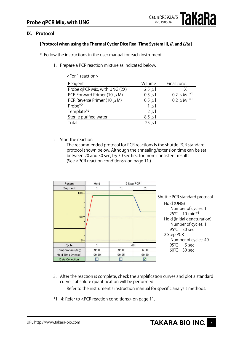

#### **IX. Protocol**

#### **[Protocol when using the Thermal Cycler Dice Real Time System III, II, and Lite]**

- \* Follow the instructions in the user manual for each instrument.
	- 1. Prepare a PCR reaction mixture as indicated below.

| <ror +="" reaction=""></ror>    |             |                  |
|---------------------------------|-------------|------------------|
| Reagent                         | Volume      | Final conc.      |
| Probe qPCR Mix, with UNG (2X)   | 12.5 $\mu$  | 1 X              |
| PCR Forward Primer (10 $\mu$ M) | $0.5 \mu$   | 0.2 $\mu$ M $*1$ |
| PCR Reverse Primer (10 $\mu$ M) | $0.5 \mu l$ | 0.2 $\mu$ M $*1$ |
| Probe $*2$                      | 1 $\mu$     |                  |
| Template <sup>*3</sup>          | $2 \mu$     |                  |
| Sterile purified water          | $8.5 \mu$   |                  |
| Total                           | $25 \mu$    |                  |
|                                 |             |                  |

2. Start the reaction.

 $\mathbf{F}$  and  $\mathbf{A}$  and  $\mathbf{A}$  and  $\mathbf{B}$  and  $\mathbf{A}$ 

The recommended protocol for PCR reactions is the shuttle PCR standard protocol shown below. Although the annealing/extension time can be set between 20 and 30 sec, try 30 sec first for more consistent results. (See <PCR reaction conditions> on page 11.)



3. After the reaction is complete, check the amplification curves and plot a standard curve if absolute quantification will be performed.

Refer to the instrument's instruction manual for specific analysis methods.

\*1 - 4: Refer to <PCR reaction conditions> on page 11.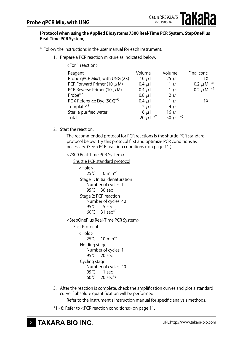#### **[Protocol when using the Applied Biosystems 7300 Real-Time PCR System, StepOnePlus Real-Time PCR System]**

\* Follow the instructions in the user manual for each instrument.

1. Prepare a PCR reaction mixture as indicated below.

| $\sim$ $\sim$ $\sim$ $\sim$ $\sim$ $\sim$ $\sim$ $\sim$ |                    |                  |                  |
|---------------------------------------------------------|--------------------|------------------|------------------|
| Reagent                                                 | Volume             | Volume           | Final conc.      |
| Probe qPCR Mix1, with UNG (2X)                          | 10 $\mu$           | $25 \mu$         | 1X               |
| PCR Forward Primer (10 $\mu$ M)                         | $0.4 \mu l$        | 1 $\mu$ l        | 0.2 $\mu$ M $*1$ |
| PCR Reverse Primer (10 $\mu$ M)                         | $0.4 \mu l$        | 1 $\mu$          | 0.2 $\mu$ M $*1$ |
| Probe <sup>*2</sup>                                     | $0.8$ $\mu$        | $2 \mu l$        |                  |
| ROX Reference Dye (50X)*5                               | $0.4 \mu l$        | 1 $\mu$          | 1Χ               |
| Template <sup>*3</sup>                                  | $2 \mu$            | $4 \mu$          |                  |
| Sterile purified water                                  | $6 \mu$            | $16 \mu$         |                  |
| Total                                                   | $*7$<br>$20 \mu l$ | $*7$<br>50 $\mu$ |                  |

Cat. #RR392A/S v201905Da

**akara** 

2 Start the reaction

<For 1 reaction>

The recommended protocol for PCR reactions is the shuttle PCR standard protocol below. Try this protocol first and optimize PCR conditions as necessary. (See <PCR reaction conditions> on page 11.)

<7300 Real-Time PCR System>

Shuttle PCR standard protocol <Hold> 25<sup>°</sup>C 10 min<sup>\*4</sup> Stage 1: Initial denaturation Number of cycles: 1 95<sup>°</sup>C 30 sec Stage 2: PCR reaction Number of cycles: 40 95℃ 5 sec 60℃ 31 sec\*8 <StepOnePlus Real-Time PCR System>

Fast Protocol

<Hold> 25℃ 10 min<sup>\*4</sup> Holding stage Number of cycles: 1 95<sup>°</sup>C 20 sec Cycling stage Number of cycles: 40 95℃ 1 sec 60℃ 20 sec\*8

3. After the reaction is complete, check the amplification curves and plot a standard curve if absolute quantification will be performed.

Refer to the instrument's instruction manual for specific analysis methods.

\*1 - 8: Refer to <PCR reaction conditions> on page 11.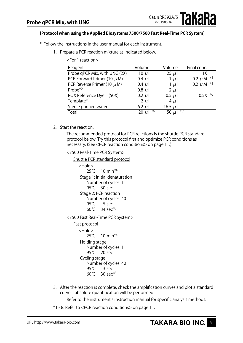#### **[Protocol when using the Applied Biosystems 7500/7500 Fast Real-Time PCR System]**

- \* Follow the instructions in the user manual for each instrument.
	- 1. Prepare a PCR reaction mixture as indicated below.

| Reagent                         | Volume           | Volume           | Final conc.       |
|---------------------------------|------------------|------------------|-------------------|
| Probe qPCR Mix, with UNG (2X)   | 10 $\mu$         | $25 \mu$         | 1 X               |
| PCR Forward Primer (10 $\mu$ M) | $0.4 \mu l$      | $1 \mu$          | *1<br>$0.2 \mu M$ |
| PCR Reverse Primer (10 $\mu$ M) | $0.4 \mu$        | 1 $\mu$          | 0.2 $\mu$ M $*1$  |
| Probe <sup>*2</sup>             | $0.8$ $\mu$      | $2 \mu l$        |                   |
| ROX Reference Dye II (50X)      | $0.2 \mu$        | $0.5 \mu$        | $0.5X * 6$        |
| Template <sup>*3</sup>          | $2 \mu$          | $4 \mu$          |                   |
| Sterile purified water          | 6.2 $\mu$        | 16.5 $\mu$       |                   |
| Total                           | $*7$<br>$20 \mu$ | $*7$<br>50 $\mu$ |                   |

2. Start the reaction.

The recommended protocol for PCR reactions is the shuttle PCR standard protocol below. Try this protocol first and optimize PCR conditions as necessary. (See <PCR reaction conditions> on page 11.)

<7500 Real-Time PCR System>

```
Shuttle PCR standard protocol
      <Hold>
          25℃ 10 min<sup>*4</sup>
       Stage 1: Initial denaturation
          Number of cycles: 1
          95<sup>°</sup>C 30 sec
       Stage 2: PCR reaction
          Number of cycles: 40
          95℃ 5 sec
          60℃	 34	sec*8
<7500 Fast Real-Time PCR System>
   Fast protocol
```
<Hold> 25<sup>°</sup>C 10 min<sup>\*4</sup> Holding stage Number of cycles: 1 95<sup>°</sup>C 20 sec Cycling stage Number of cycles: 40 95<sup>°</sup>C 3 sec 60℃ 30 sec\*8

3. After the reaction is complete, check the amplification curves and plot a standard curve if absolute quantification will be performed.

Refer to the instrument's instruction manual for specific analysis methods.

\*1 - 8: Refer to <PCR reaction conditions> on page 11.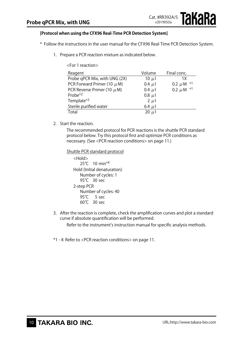#### **[Protocol when using the CFX96 Real-Time PCR Detection System]**

- \* Follow the instructions in the user manual for the CFX96 Real-Time PCR Detection System.
	- 1. Prepare a PCR reaction mixture as indicated below.

| <for 1="" reaction=""></for>    |             |                   |  |  |  |
|---------------------------------|-------------|-------------------|--|--|--|
| Reagent                         | Volume      | Final conc.       |  |  |  |
| Probe qPCR Mix, with UNG (2X)   | 10 $\mu$    | 1Χ                |  |  |  |
| PCR Forward Primer (10 $\mu$ M) | $0.4 \mu l$ | ∗1<br>$0.2 \mu M$ |  |  |  |
| PCR Reverse Primer (10 $\mu$ M) | $0.4 \mu l$ | 0.2 $\mu$ M $*1$  |  |  |  |
| Probe $*2$                      | $0.8 \mu l$ |                   |  |  |  |
| Template <sup>*3</sup>          | $2 \mu l$   |                   |  |  |  |
| Sterile purified water          | 6.4 $\mu$   |                   |  |  |  |
| Total                           | $20 \mu$    |                   |  |  |  |

2. Start the reaction.

The recommended protocol for PCR reactions is the shuttle PCR standard protocol below. Try this protocol first and optimize PCR conditions as necessary. (See <PCR reaction conditions> on page 11.)

Shuttle PCR standard protocol <Hold> 25<sup>°</sup>C 10 min<sup>\*4</sup>

Hold (Initial denaturation) Number of cycles: 1 95<sup>°</sup>C 30 sec 2-step PCR Number of cycles: 40 95℃ 5 sec 60℃ 30 sec

3. After the reaction is complete, check the amplification curves and plot a standard curve if absolute quantification will be performed.

Refer to the instrument's instruction manual for specific analysis methods.

\*1 - 4: Refer to <PCR reaction conditions> on page 11.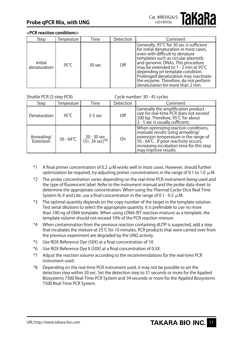#### **<PCR reaction conditions>**

| Step                           | Temperature | Time     | Detection | Comment                                                                                                                                                                                                                                                                                                                                                                                                |
|--------------------------------|-------------|----------|-----------|--------------------------------------------------------------------------------------------------------------------------------------------------------------------------------------------------------------------------------------------------------------------------------------------------------------------------------------------------------------------------------------------------------|
| <b>Initial</b><br>denaturation | 95° $C$     | $30$ sec | Off       | Generally, 95℃ for 30 sec is sufficient<br>for initial denaturation in most cases,<br>even with difficult to denature<br>templates such as circular plasmids<br>and genomic DNAs. This procedure<br>may be extended to 1 - 2 min at 95 $°C$<br>depending on template condition.<br>Prolonged denaturation may inactivate<br>the enzyme. Therefore, do not perform<br>denaturation for more than 2 min. |

Shuttle PCR (2-step PCR) Cycle number: 30 - 45 cycles

| Step                    | Temperature        | Time                          | Detection | Comment                                                                                                                                                                                                                         |
|-------------------------|--------------------|-------------------------------|-----------|---------------------------------------------------------------------------------------------------------------------------------------------------------------------------------------------------------------------------------|
| Denaturation            | 95°C               | $3-5$ sec                     | Off       | Generally the amplification product<br>size for real-time PCR does not exceed<br>300 bp. Therefore, 95℃ for about<br>3 - 5 sec is usually sufficient.                                                                           |
| Annealing/<br>Extension | $56 - 64^{\circ}C$ | 20 - 30 sec<br>(31, 34 sec)*8 | On        | When optimizing reaction conditions,<br>evaluate results using annealing/<br>extension temperature in the range of<br>56 - 64℃ . If poor reactivity occurs,<br>increasing incubation time for this step<br>may improve results. |

- \*1 A final primer concentration of 0.2  $\mu$  M works well in most cases. However, should further optimization be required, try adjusting primer concentrations in the range of 0.1 to 1.0  $\mu$ M.
- \*2 The probe concentration varies depending on the real-time PCR instrument being used and the type of fluorescent label. Refer to the instrument manual and the probe data sheet to determine the appropriate concentration. When using the Thermal Cycler Dice Real Time System III, *II* and *Lite*, use a final concentration in the range of 0.1 - 0.5  $\mu$  M.
- \*3 The optimal quantity depends on the copy number of the target in the template solution. Test serial dilutions to select the appropriate quantity. It is preferable to use no more than 100 ng of DNA template. When using cDNA (RT reaction mixture) as a template, the template volume should not exceed 10% of the PCR reaction mixture.
- \*4 When contamination from the previous reaction containing dUTP is suspected, add a step that incubates the mixture at 25℃ for 10 minutes. PCR products that were carried over from the previous experiment are degraded by the UNG activity.
- \*5 Use ROX Reference Dye (50X) at a final concentration of 1X.
- \*6 Use ROX Reference Dye II (50X) at a final concentration of 0.5X.
- \*7 Adjust the reaction volume according to the recommendations for the real-time PCR instrument used.
- \*8 Depending on the real-time PCR instrument used, it may not be possible to set the detection step within 30 sec. Set the detection step to 31 seconds or more for the Applied Biosystems 7300 Real-Time PCR System and 34 seconds or more for the Applied Biosystems 7500 Real-Time PCR System.